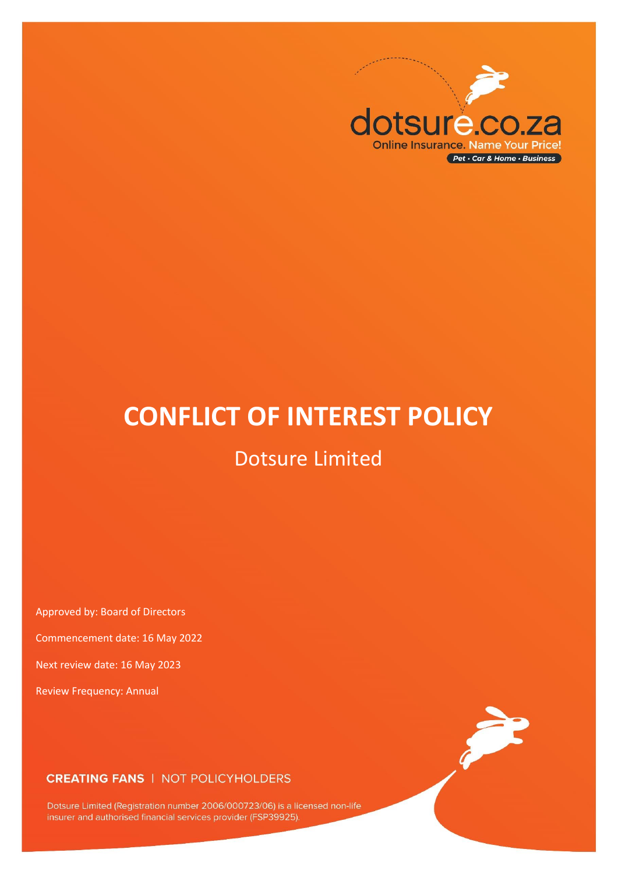

# **CONFLICT OF INTEREST POLICY**

## Dotsure Limited

Approved by: Board of Directors

Commencement date: 16 May 2022

Next review date: 16 May 2023

Review Frequency: Annual

## **CREATING FANS | NOT POLICYHOLDERS**

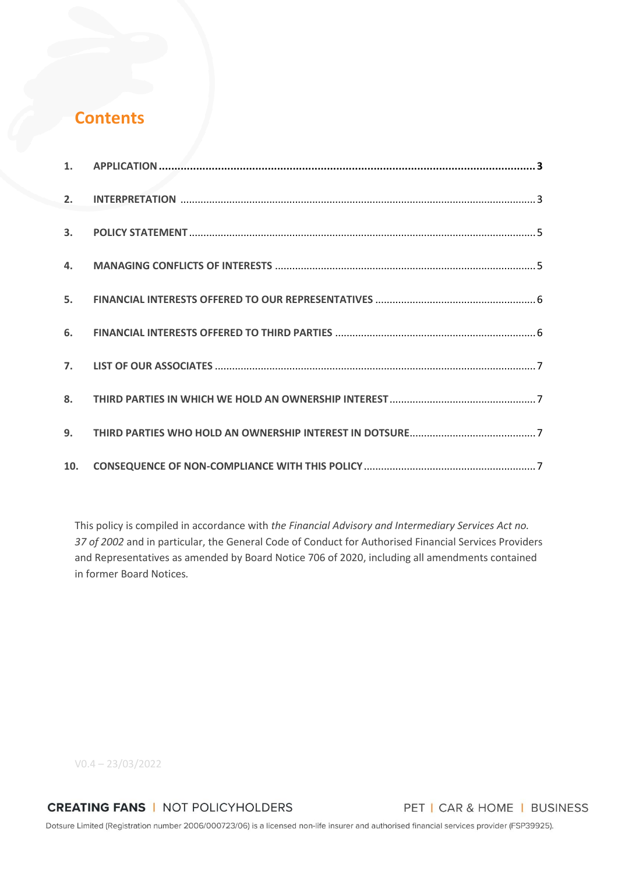## **Contents**

| 8. |  |
|----|--|
|    |  |
|    |  |

This policy is compiled in accordance with *the Financial Advisory and Intermediary Services Act no. 37 of 2002* and in particular, the General Code of Conduct for Authorised Financial Services Providers and Representatives as amended by Board Notice 706 of 2020, including all amendments contained in former Board Notices*.*

V0.4 – 23/03/2022

**CREATING FANS | NOT POLICYHOLDERS** 

PET | CAR & HOME | BUSINESS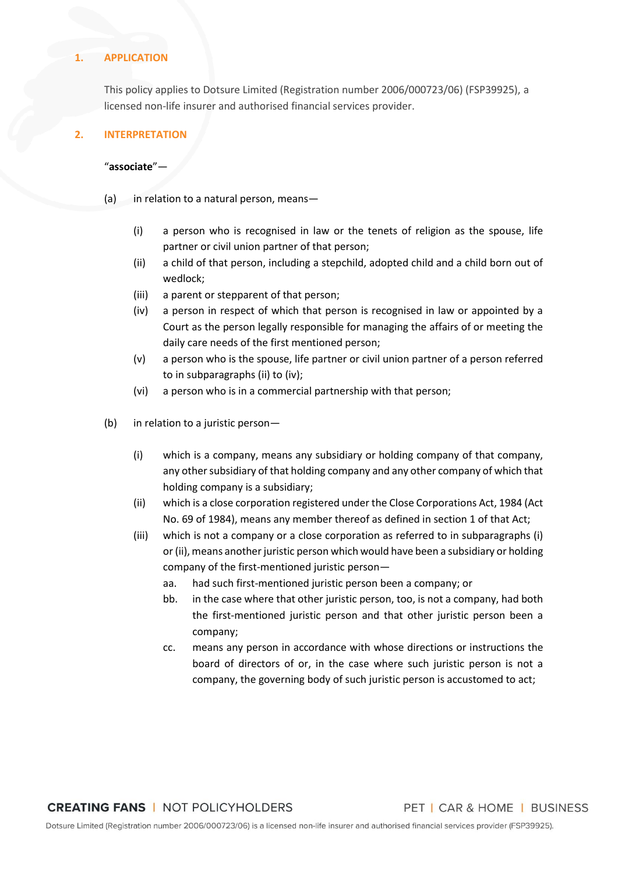#### <span id="page-2-0"></span>**1. APPLICATION**

This policy applies to Dotsure Limited (Registration number 2006/000723/06) (FSP39925), a licensed non-life insurer and authorised financial services provider.

### <span id="page-2-1"></span>**2. INTERPRETATION**

#### "**associate**"—

- (a) in relation to a natural person, means-
	- (i) a person who is recognised in law or the tenets of religion as the spouse, life partner or civil union partner of that person;
	- (ii) a child of that person, including a stepchild, adopted child and a child born out of wedlock;
	- (iii) a parent or stepparent of that person;
	- (iv) a person in respect of which that person is recognised in law or appointed by a Court as the person legally responsible for managing the affairs of or meeting the daily care needs of the first mentioned person;
	- (v) a person who is the spouse, life partner or civil union partner of a person referred to in subparagraphs (ii) to (iv);
	- (vi) a person who is in a commercial partnership with that person;
- (b) in relation to a juristic person—
	- (i) which is a company, means any subsidiary or holding company of that company, any other subsidiary of that holding company and any other company of which that holding company is a subsidiary;
	- (ii) which is a close corporation registered under the Close Corporations Act, 1984 (Act No. 69 of 1984), means any member thereof as defined in section 1 of that Act;
	- (iii) which is not a company or a close corporation as referred to in subparagraphs (i) or (ii), means another juristic person which would have been a subsidiary or holding company of the first-mentioned juristic person
		- aa. had such first-mentioned juristic person been a company; or
		- bb. in the case where that other juristic person, too, is not a company, had both the first-mentioned juristic person and that other juristic person been a company;
		- cc. means any person in accordance with whose directions or instructions the board of directors of or, in the case where such juristic person is not a company, the governing body of such juristic person is accustomed to act;

PET | CAR & HOME | BUSINESS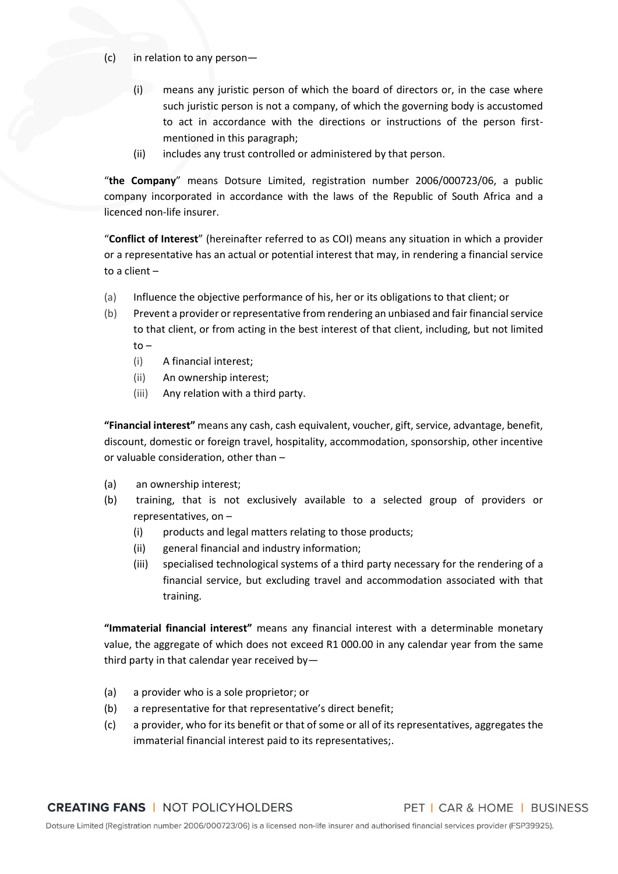(c) in relation to any person—

- (i) means any juristic person of which the board of directors or, in the case where such juristic person is not a company, of which the governing body is accustomed to act in accordance with the directions or instructions of the person firstmentioned in this paragraph;
- (ii) includes any trust controlled or administered by that person.

"**the Company**" means Dotsure Limited, registration number 2006/000723/06, a public company incorporated in accordance with the laws of the Republic of South Africa and a licenced non-life insurer.

"**Conflict of Interest**" (hereinafter referred to as COI) means any situation in which a provider or a representative has an actual or potential interest that may, in rendering a financial service to a client –

- (a) Influence the objective performance of his, her or its obligations to that client; or
- (b) Prevent a provider or representative from rendering an unbiased and fair financial service to that client, or from acting in the best interest of that client, including, but not limited to –
	- (i) A financial interest;
	- (ii) An ownership interest;
	- (iii) Any relation with a third party.

**"Financial interest"** means any cash, cash equivalent, voucher, gift, service, advantage, benefit, discount, domestic or foreign travel, hospitality, accommodation, sponsorship, other incentive or valuable consideration, other than –

- (a) an ownership interest;
- (b) training, that is not exclusively available to a selected group of providers or representatives, on –
	- (i) products and legal matters relating to those products;
	- (ii) general financial and industry information;
	- (iii) specialised technological systems of a third party necessary for the rendering of a financial service, but excluding travel and accommodation associated with that training.

**"Immaterial financial interest"** means any financial interest with a determinable monetary value, the aggregate of which does not exceed R1 000.00 in any calendar year from the same third party in that calendar year received by—

- (a) a provider who is a sole proprietor; or
- (b) a representative for that representative's direct benefit;
- (c) a provider, who for its benefit or that of some or all of its representatives, aggregates the immaterial financial interest paid to its representatives;.

PET | CAR & HOME | BUSINESS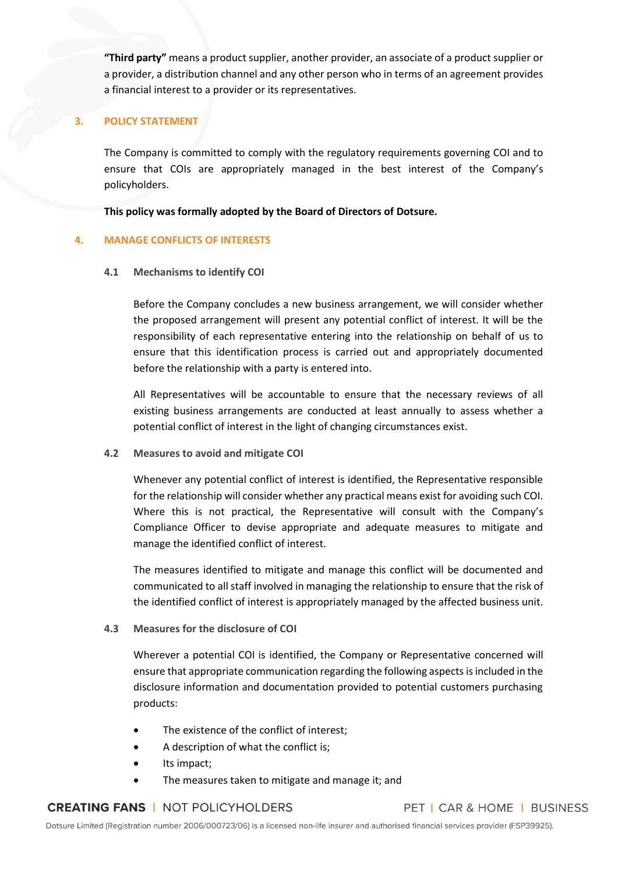**"Third party"** means a product supplier, another provider, an associate of a product supplier or a provider, a distribution channel and any other person who in terms of an agreement provides a financial interest to a provider or its representatives.

### <span id="page-4-0"></span>**3. POLICY STATEMENT**

The Company is committed to comply with the regulatory requirements governing COI and to ensure that COIs are appropriately managed in the best interest of the Company's policyholders.

**This policy was formally adopted by the Board of Directors of Dotsure.**

### <span id="page-4-1"></span>**4. MANAGE CONFLICTS OF INTERESTS**

## **4.1 Mechanisms to identify COI**

Before the Company concludes a new business arrangement, we will consider whether the proposed arrangement will present any potential conflict of interest. It will be the responsibility of each representative entering into the relationship on behalf of us to ensure that this identification process is carried out and appropriately documented before the relationship with a party is entered into.

All Representatives will be accountable to ensure that the necessary reviews of all existing business arrangements are conducted at least annually to assess whether a potential conflict of interest in the light of changing circumstances exist.

**4.2 Measures to avoid and mitigate COI**

Whenever any potential conflict of interest is identified, the Representative responsible for the relationship will consider whether any practical means exist for avoiding such COI. Where this is not practical, the Representative will consult with the Company's Compliance Officer to devise appropriate and adequate measures to mitigate and manage the identified conflict of interest.

The measures identified to mitigate and manage this conflict will be documented and communicated to all staff involved in managing the relationship to ensure that the risk of the identified conflict of interest is appropriately managed by the affected business unit.

## **4.3 Measures for the disclosure of COI**

Wherever a potential COI is identified, the Company or Representative concerned will ensure that appropriate communication regarding the following aspects is included in the disclosure information and documentation provided to potential customers purchasing products:

- The existence of the conflict of interest;
- A description of what the conflict is;
- Its impact;
- The measures taken to mitigate and manage it; and

## **CREATING FANS | NOT POLICYHOLDERS**

PET | CAR & HOME | BUSINESS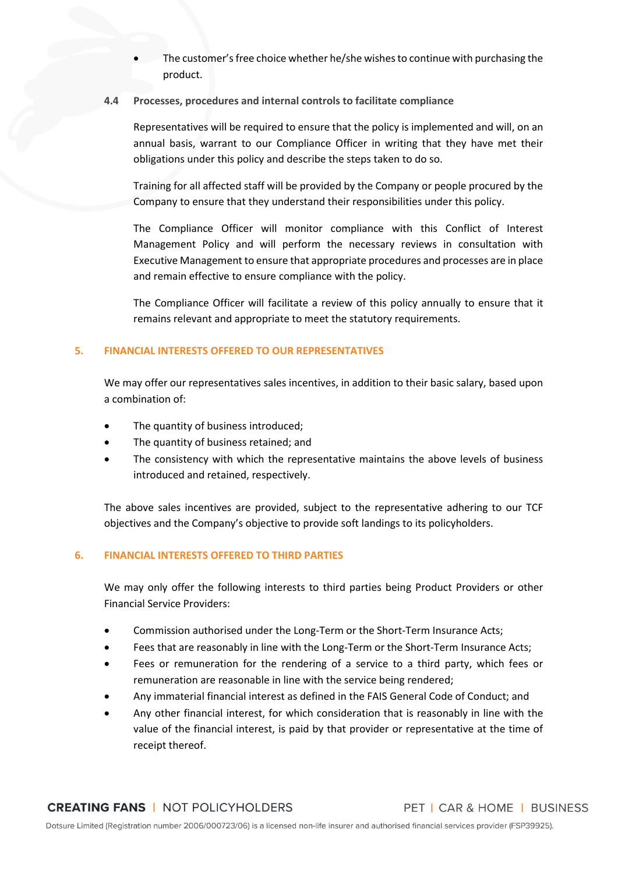The customer's free choice whether he/she wishes to continue with purchasing the product.

### **4.4 Processes, procedures and internal controls to facilitate compliance**

Representatives will be required to ensure that the policy is implemented and will, on an annual basis, warrant to our Compliance Officer in writing that they have met their obligations under this policy and describe the steps taken to do so.

Training for all affected staff will be provided by the Company or people procured by the Company to ensure that they understand their responsibilities under this policy.

The Compliance Officer will monitor compliance with this Conflict of Interest Management Policy and will perform the necessary reviews in consultation with Executive Management to ensure that appropriate procedures and processes are in place and remain effective to ensure compliance with the policy.

The Compliance Officer will facilitate a review of this policy annually to ensure that it remains relevant and appropriate to meet the statutory requirements.

## <span id="page-5-0"></span>**5. FINANCIAL INTERESTS OFFERED TO OUR REPRESENTATIVES**

We may offer our representatives sales incentives, in addition to their basic salary, based upon a combination of:

- The quantity of business introduced;
- The quantity of business retained; and
- The consistency with which the representative maintains the above levels of business introduced and retained, respectively.

The above sales incentives are provided, subject to the representative adhering to our TCF objectives and the Company's objective to provide soft landings to its policyholders.

## <span id="page-5-1"></span>**6. FINANCIAL INTERESTS OFFERED TO THIRD PARTIES**

We may only offer the following interests to third parties being Product Providers or other Financial Service Providers:

- Commission authorised under the Long-Term or the Short-Term Insurance Acts;
- Fees that are reasonably in line with the Long-Term or the Short-Term Insurance Acts;
- Fees or remuneration for the rendering of a service to a third party, which fees or remuneration are reasonable in line with the service being rendered;
- Any immaterial financial interest as defined in the FAIS General Code of Conduct; and
- Any other financial interest, for which consideration that is reasonably in line with the value of the financial interest, is paid by that provider or representative at the time of receipt thereof.

PET | CAR & HOME | BUSINESS